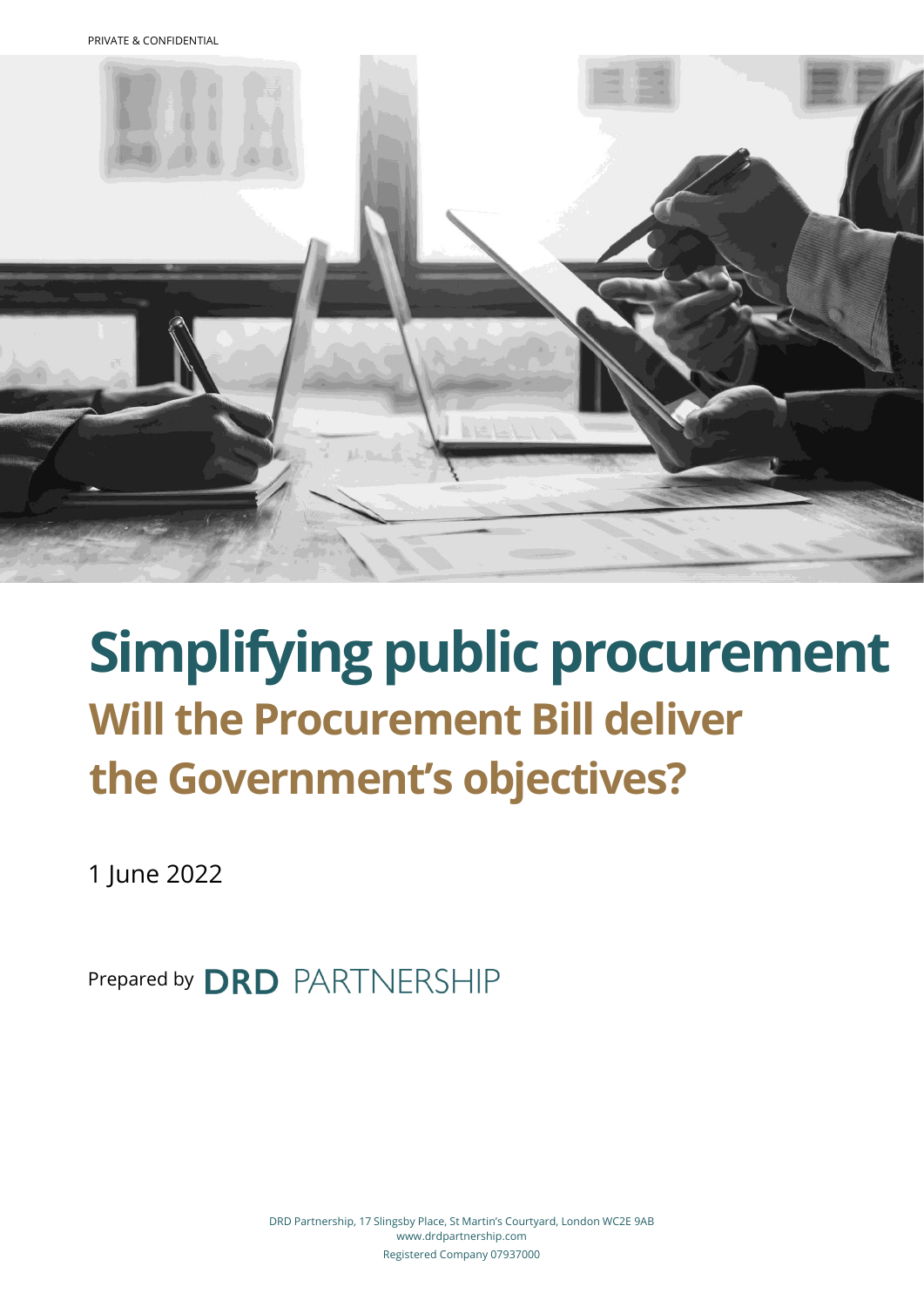

# **Simplifying public procurement Will the Procurement Bill deliver the Government's objectives?**

1 June 2022

Prepared by **DRD** PARTNERSHIP

DRD Partnership, 17 Slingsby Place, St Martin's Courtyard, London WC2E 9AB www.drdpartnership.com Registered Company 07937000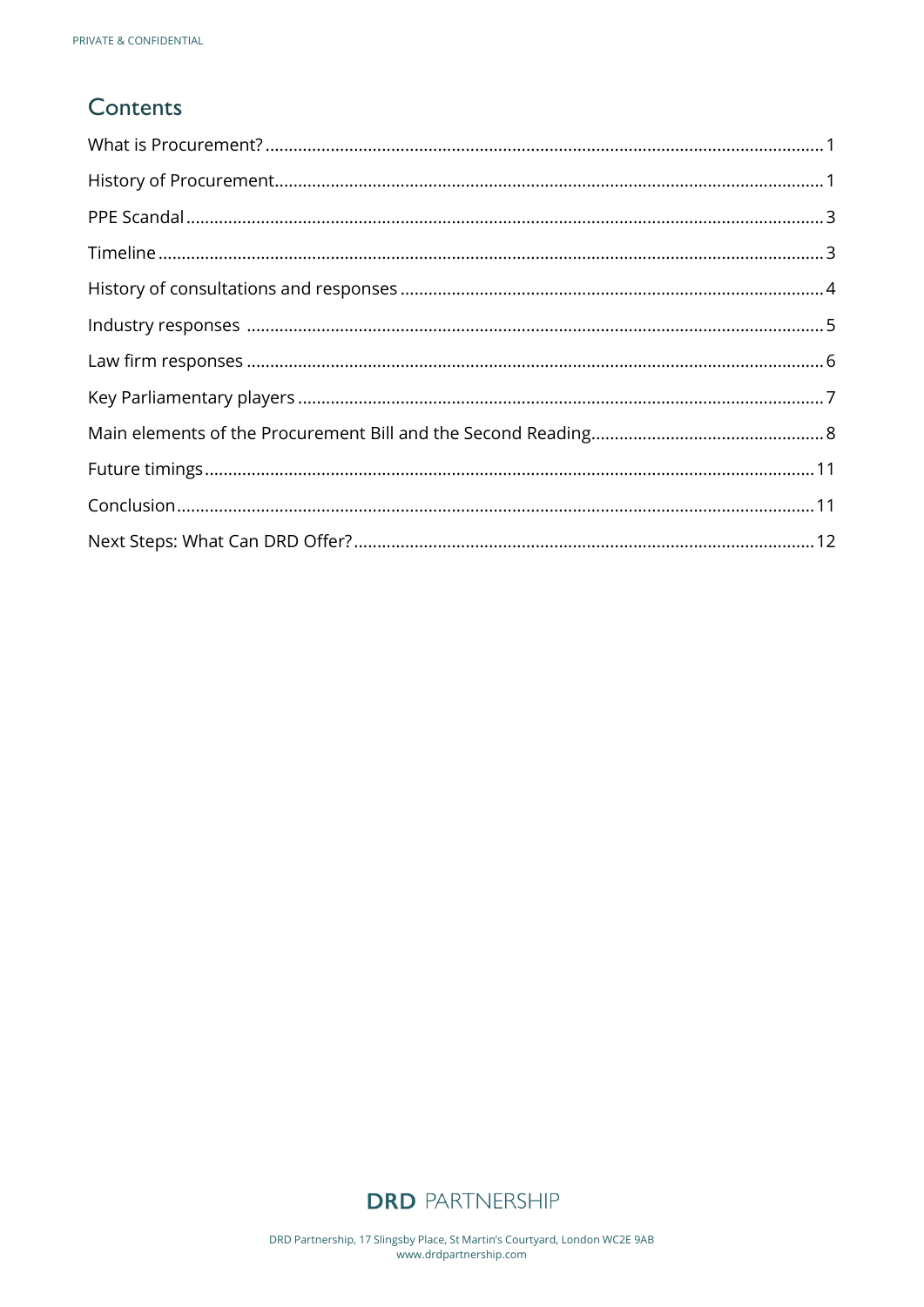# Contents

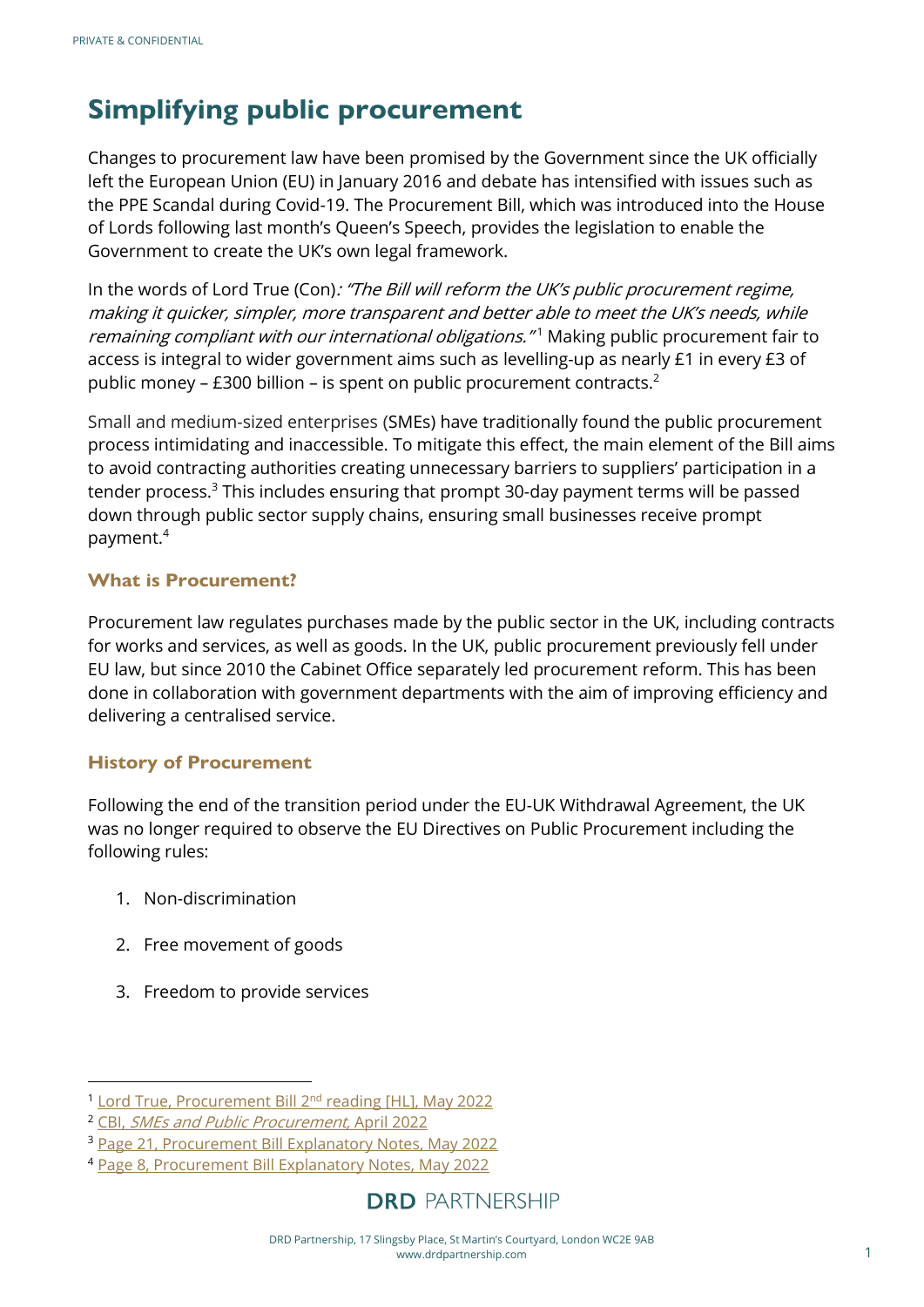# **Simplifying public procurement**

Changes to procurement law have been promised by the Government since the UK officially left the European Union (EU) in January 2016 and debate has intensified with issues such as the PPE Scandal during Covid-19. The Procurement Bill, which was introduced into the House of Lords following last month's Queen's Speech, provides the legislation to enable the Government to create the UK's own legal framework.

In the words of Lord True (Con): "The Bill will reform the UK's public procurement regime, making it quicker, simpler, more transparent and better able to meet the UK's needs, while remaining compliant with our international obligations."<sup>1</sup> Making public procurement fair to access is integral to wider government aims such as levelling-up as nearly £1 in every £3 of public money – £300 billion – is spent on public procurement contracts.<sup>2</sup>

Small and medium-sized enterprises (SMEs) have traditionally found the public procurement process intimidating and inaccessible. To mitigate this effect, the main element of the Bill aims to avoid contracting authorities creating unnecessary barriers to suppliers' participation in a tender process. $3$  This includes ensuring that prompt 30-day payment terms will be passed down through public sector supply chains, ensuring small businesses receive prompt payment.<sup>4</sup>

#### <span id="page-2-0"></span>**What is Procurement?**

Procurement law regulates purchases made by the public sector in the UK, including contracts for works and services, as well as goods. In the UK, public procurement previously fell under EU law, but since 2010 the Cabinet Office separately led procurement reform. This has been done in collaboration with government departments with the aim of improving efficiency and delivering a centralised service.

#### <span id="page-2-1"></span>**History of Procurement**

Following the end of the transition period under the EU-UK Withdrawal Agreement, the UK was no longer required to observe the EU Directives on Public Procurement including the following rules:

- 1. Non-discrimination
- 2. Free movement of goods
- 3. Freedom to provide services

<sup>&</sup>lt;sup>1</sup> [Lord True, Procurement Bill 2](https://hansard.parliament.uk/lords/2022-05-25/debates/17E14739-4AC4-4D4B-B9C6-2E4CB6BFC328/ProcurementBill(HL)#contribution-006C7723-D31F-43A5-B546-579DC3DA4175)<sup>nd</sup> reading [HL], May 2022

<sup>2</sup> CBI, [SMEs and Public Procurement,](https://www.cbi.org.uk/articles/sme-webinar-smes-and-public-procurement-all-you-need-to-know/) April 2022

<sup>&</sup>lt;sup>3</sup> [Page 21, Procurement Bill Explanatory Notes, May 2022](https://bills.parliament.uk/publications/46458/documents/1787)

<sup>4</sup> [Page 8, Procurement Bill Explanatory Notes, May 2022](https://bills.parliament.uk/publications/46458/documents/1787)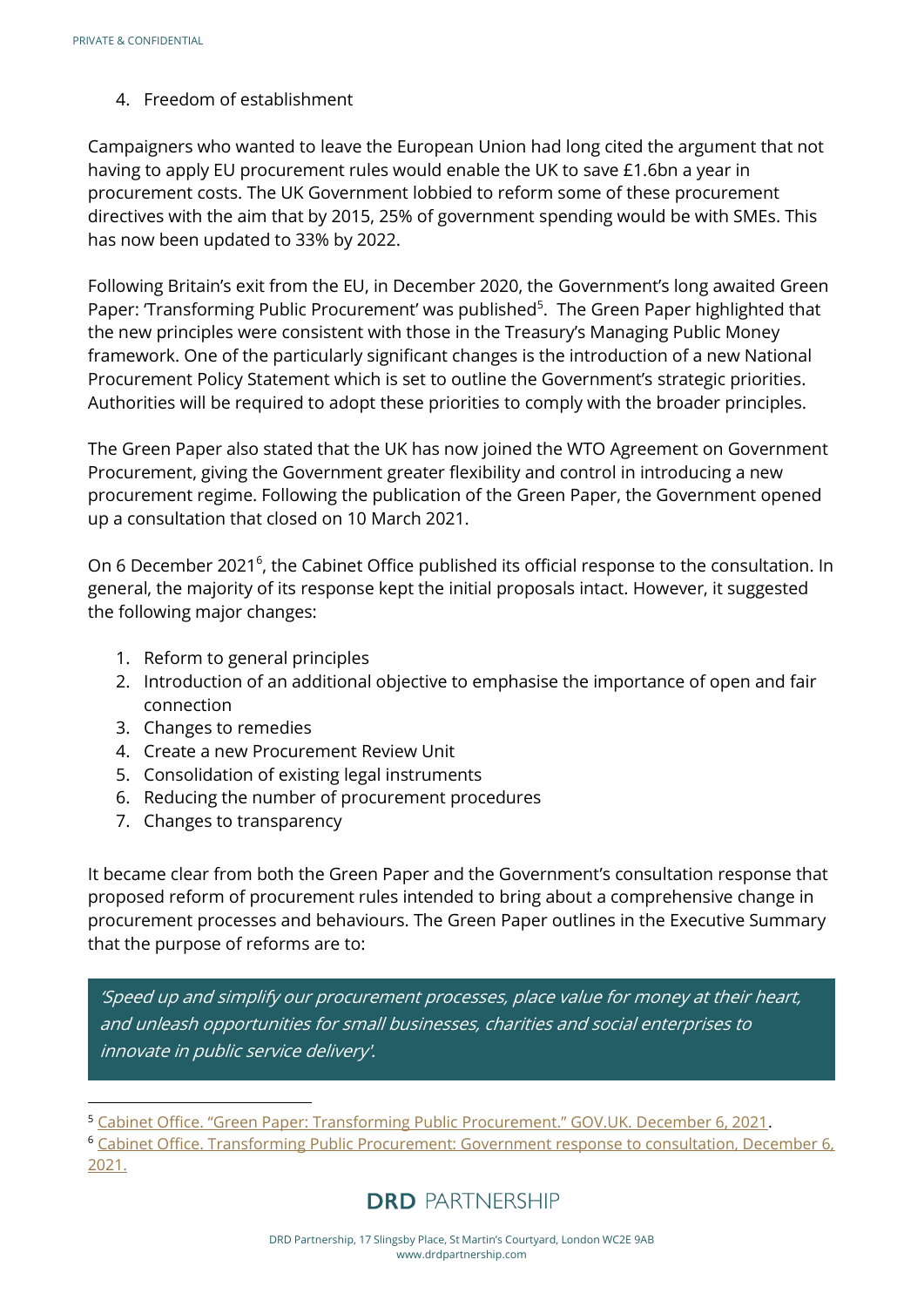#### 4. Freedom of establishment

Campaigners who wanted to leave the European Union had long cited the argument that not having to apply EU procurement rules would enable the UK to save £1.6bn a year in procurement costs. The UK Government lobbied to reform some of these procurement directives with the aim that by 2015, 25% of government spending would be with SMEs. This has now been updated to 33% by 2022.

Following Britain's exit from the EU, in December 2020, the Government's long awaited Green Paper: 'Transforming Public Procurement' was published<sup>5</sup>. The Green Paper highlighted that the new principles were consistent with those in the Treasury's Managing Public Money framework. One of the particularly significant changes is the introduction of a new National Procurement Policy Statement which is set to outline the Government's strategic priorities. Authorities will be required to adopt these priorities to comply with the broader principles.

The Green Paper also stated that the UK has now joined the WTO Agreement on Government Procurement, giving the Government greater flexibility and control in introducing a new procurement regime. Following the publication of the Green Paper, the Government opened up a consultation that closed on 10 March 2021.

On 6 December 2021<sup>6</sup>, the Cabinet Office published its official response to the consultation. In general, the majority of its response kept the initial proposals intact. However, it suggested the following major changes:

- 1. Reform to general principles
- 2. Introduction of an additional objective to emphasise the importance of open and fair connection
- 3. Changes to remedies
- 4. Create a new Procurement Review Unit
- 5. Consolidation of existing legal instruments
- 6. Reducing the number of procurement procedures
- 7. Changes to transparency

It became clear from both the Green Paper and the Government's consultation response that proposed reform of procurement rules intended to bring about a comprehensive change in procurement processes and behaviours. The Green Paper outlines in the Executive Summary that the purpose of reforms are to:

'Speed up and simplify our procurement processes, place value for money at their heart, and unleash opportunities for small businesses, charities and social enterprises to innovate in public service delivery'.

<sup>6</sup> [Cabinet Office. Transforming Public Procurement: Government response to consultation, December 6,](https://assets.publishing.service.gov.uk/government/uploads/system/uploads/attachment_data/file/1038516/Transforming_Public_Procurement-_Government_response_to_consultation.v3_.pdf.)  [2021.](https://assets.publishing.service.gov.uk/government/uploads/system/uploads/attachment_data/file/1038516/Transforming_Public_Procurement-_Government_response_to_consultation.v3_.pdf.)

<sup>5</sup> [Cabinet Office. "Green Paper: Transforming Public Procurement." GOV.UK. December 6, 2021](https://www.gov.uk/government/consultations/green-paper-transforming-public-procurement).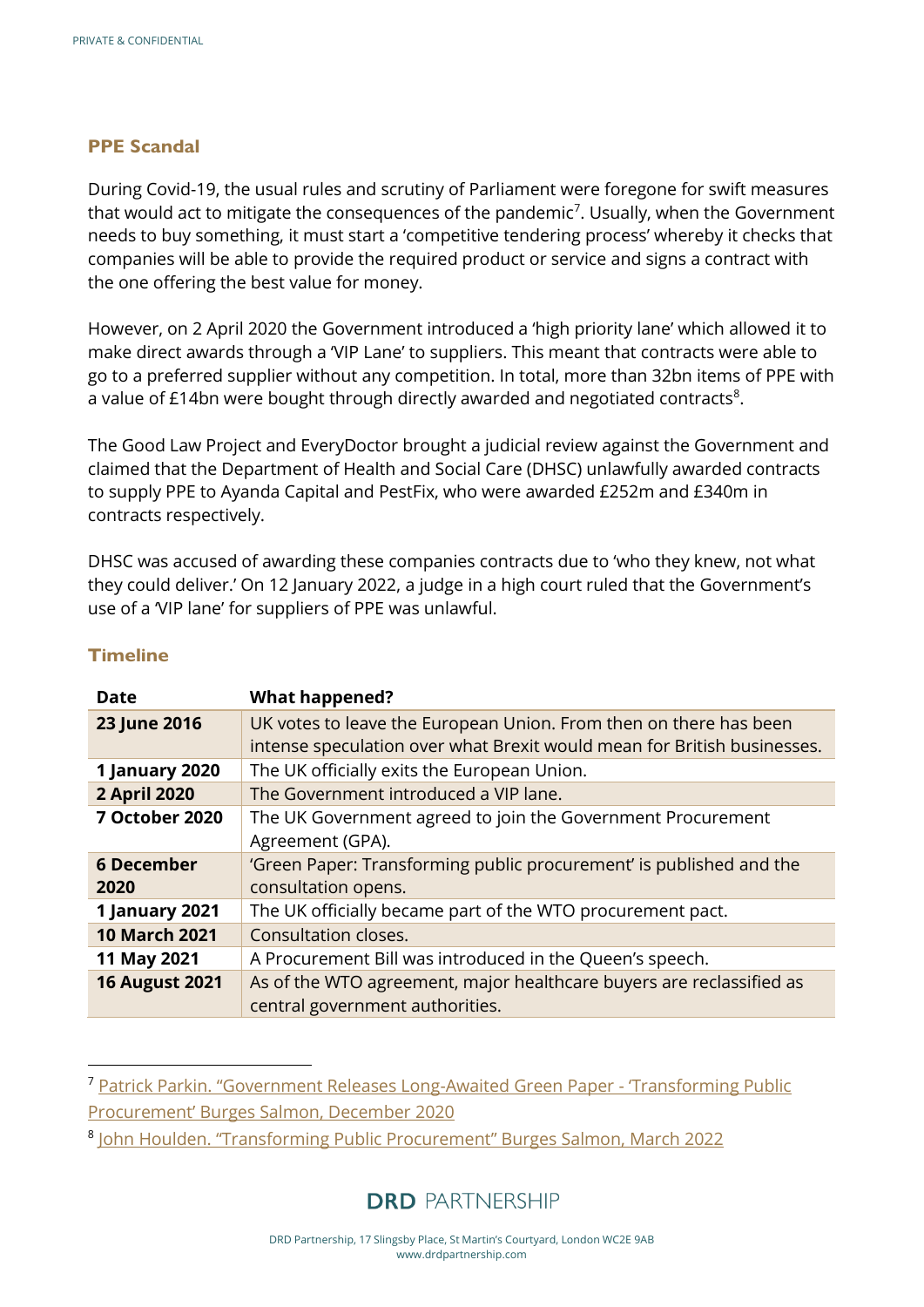#### <span id="page-4-0"></span>**PPE Scandal**

During Covid-19, the usual rules and scrutiny of Parliament were foregone for swift measures that would act to mitigate the consequences of the pandemic<sup>7</sup>. Usually, when the Government needs to buy something, it must start a 'competitive tendering process' whereby it checks that companies will be able to provide the required product or service and signs a contract with the one offering the best value for money.

However, on 2 April 2020 the Government introduced a 'high priority lane' which allowed it to make direct awards through a 'VIP Lane' to suppliers. This meant that contracts were able to go to a preferred supplier without any competition. In total, more than 32bn items of PPE with a value of  $£14$ bn were bought through directly awarded and negotiated contracts<sup>8</sup>.

The Good Law Project and EveryDoctor brought a judicial review against the Government and claimed that the Department of Health and Social Care (DHSC) unlawfully awarded contracts to supply PPE to Ayanda Capital and PestFix, who were awarded £252m and £340m in contracts respectively.

DHSC was accused of awarding these companies contracts due to 'who they knew, not what they could deliver.' On 12 January 2022, a judge in a high court ruled that the Government's use of a 'VIP lane' for suppliers of PPE was unlawful.

| <b>Date</b>           | <b>What happened?</b>                                                   |
|-----------------------|-------------------------------------------------------------------------|
| 23 June 2016          | UK votes to leave the European Union. From then on there has been       |
|                       | intense speculation over what Brexit would mean for British businesses. |
| 1 January 2020        | The UK officially exits the European Union.                             |
| <b>2 April 2020</b>   | The Government introduced a VIP lane.                                   |
| <b>7 October 2020</b> | The UK Government agreed to join the Government Procurement             |
|                       | Agreement (GPA).                                                        |
| <b>6 December</b>     | 'Green Paper: Transforming public procurement' is published and the     |
| 2020                  | consultation opens.                                                     |
| 1 January 2021        | The UK officially became part of the WTO procurement pact.              |
| <b>10 March 2021</b>  | Consultation closes.                                                    |
| 11 May 2021           | A Procurement Bill was introduced in the Queen's speech.                |
| <b>16 August 2021</b> | As of the WTO agreement, major healthcare buyers are reclassified as    |
|                       | central government authorities.                                         |

#### <span id="page-4-1"></span>**Timeline**

<sup>7</sup> [Patrick Parkin. "Government Releases Long](https://blog.burges-salmon.com/post/102gm1e/government-releases-long-awaited-green-paper-transforming-public-procurement)-Awaited Green Paper - 'Transforming Public

[Procurement' Burges Salmon, December](https://blog.burges-salmon.com/post/102gm1e/government-releases-long-awaited-green-paper-transforming-public-procurement) 2020

<sup>8</sup> [John Houlden. "Transforming Public Procurement" Burges Salmon, March 2022](https://www.burges-salmon.com/news-and-insight/legal-updates/transforming-public-procurement-whats-the-future-of-public-procurement-policy-in-the-uk)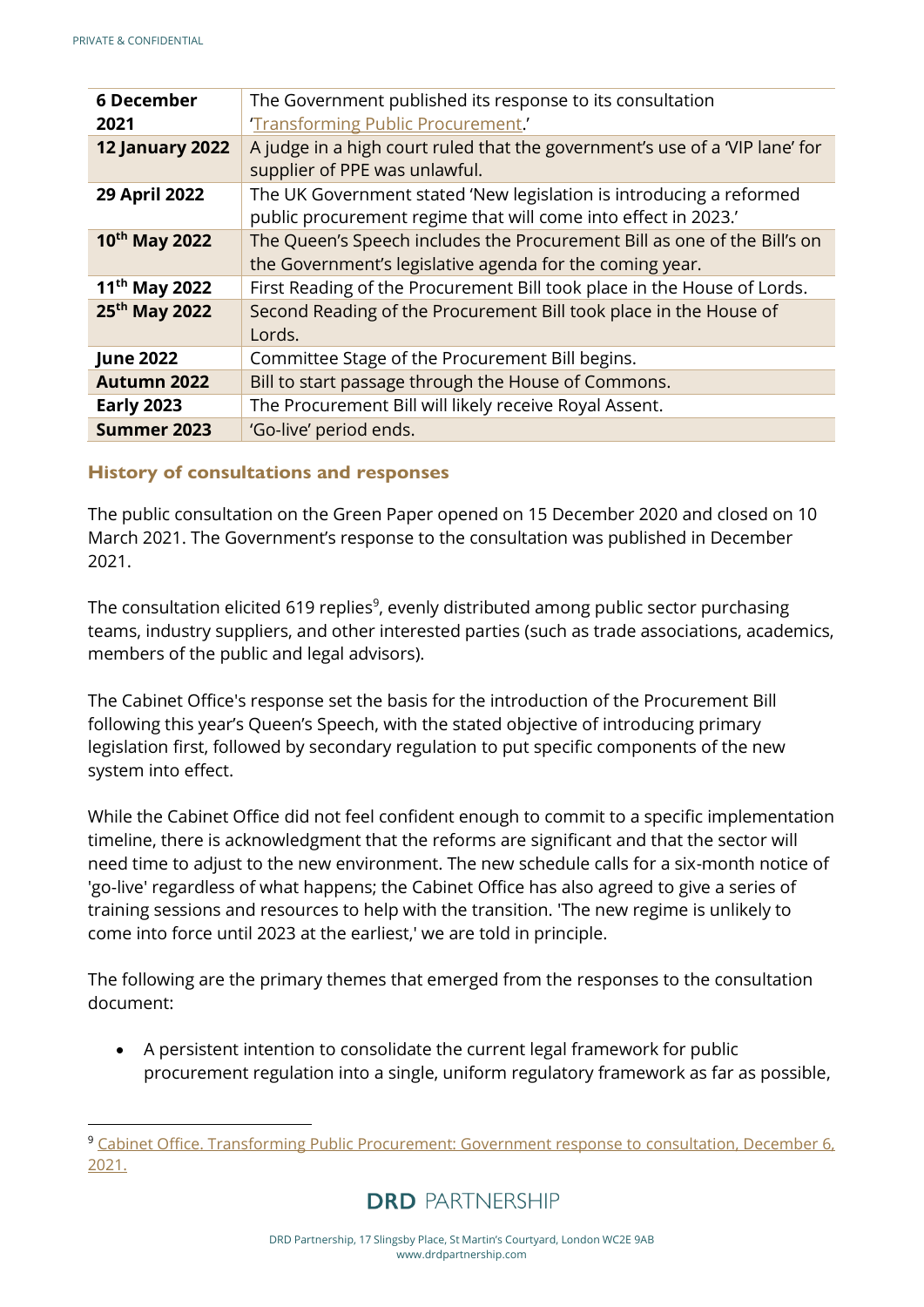| <b>6 December</b>         | The Government published its response to its consultation                   |
|---------------------------|-----------------------------------------------------------------------------|
| 2021                      | 'Transforming Public Procurement.'                                          |
| <b>12 January 2022</b>    | A judge in a high court ruled that the government's use of a 'VIP lane' for |
|                           | supplier of PPE was unlawful.                                               |
| 29 April 2022             | The UK Government stated 'New legislation is introducing a reformed         |
|                           | public procurement regime that will come into effect in 2023.'              |
| $10^{th}$ May 2022        | The Queen's Speech includes the Procurement Bill as one of the Bill's on    |
|                           | the Government's legislative agenda for the coming year.                    |
| $11^{th}$ May 2022        | First Reading of the Procurement Bill took place in the House of Lords.     |
| 25 <sup>th</sup> May 2022 | Second Reading of the Procurement Bill took place in the House of           |
|                           | Lords.                                                                      |
| <b>June 2022</b>          | Committee Stage of the Procurement Bill begins.                             |
| Autumn 2022               | Bill to start passage through the House of Commons.                         |
| <b>Early 2023</b>         | The Procurement Bill will likely receive Royal Assent.                      |
| Summer 2023               | 'Go-live' period ends.                                                      |

#### <span id="page-5-0"></span>**History of consultations and responses**

The public consultation on the Green Paper opened on 15 December 2020 and closed on 10 March 2021. The Government's response to the consultation was published in December 2021.

The consultation elicited 619 replies $9$ , evenly distributed among public sector purchasing teams, industry suppliers, and other interested parties (such as trade associations, academics, members of the public and legal advisors).

The Cabinet Office's response set the basis for the introduction of the Procurement Bill following this year's Queen's Speech, with the stated objective of introducing primary legislation first, followed by secondary regulation to put specific components of the new system into effect.

While the Cabinet Office did not feel confident enough to commit to a specific implementation timeline, there is acknowledgment that the reforms are significant and that the sector will need time to adjust to the new environment. The new schedule calls for a six-month notice of 'go-live' regardless of what happens; the Cabinet Office has also agreed to give a series of training sessions and resources to help with the transition. 'The new regime is unlikely to come into force until 2023 at the earliest,' we are told in principle.

The following are the primary themes that emerged from the responses to the consultation document:

• A persistent intention to consolidate the current legal framework for public procurement regulation into a single, uniform regulatory framework as far as possible,

<sup>9</sup> [Cabinet Office. Transforming Public Procurement: Government response to consultation, December 6,](https://assets.publishing.service.gov.uk/government/uploads/system/uploads/attachment_data/file/1038516/Transforming_Public_Procurement-_Government_response_to_consultation.v3_.pdf.)  [2021.](https://assets.publishing.service.gov.uk/government/uploads/system/uploads/attachment_data/file/1038516/Transforming_Public_Procurement-_Government_response_to_consultation.v3_.pdf.)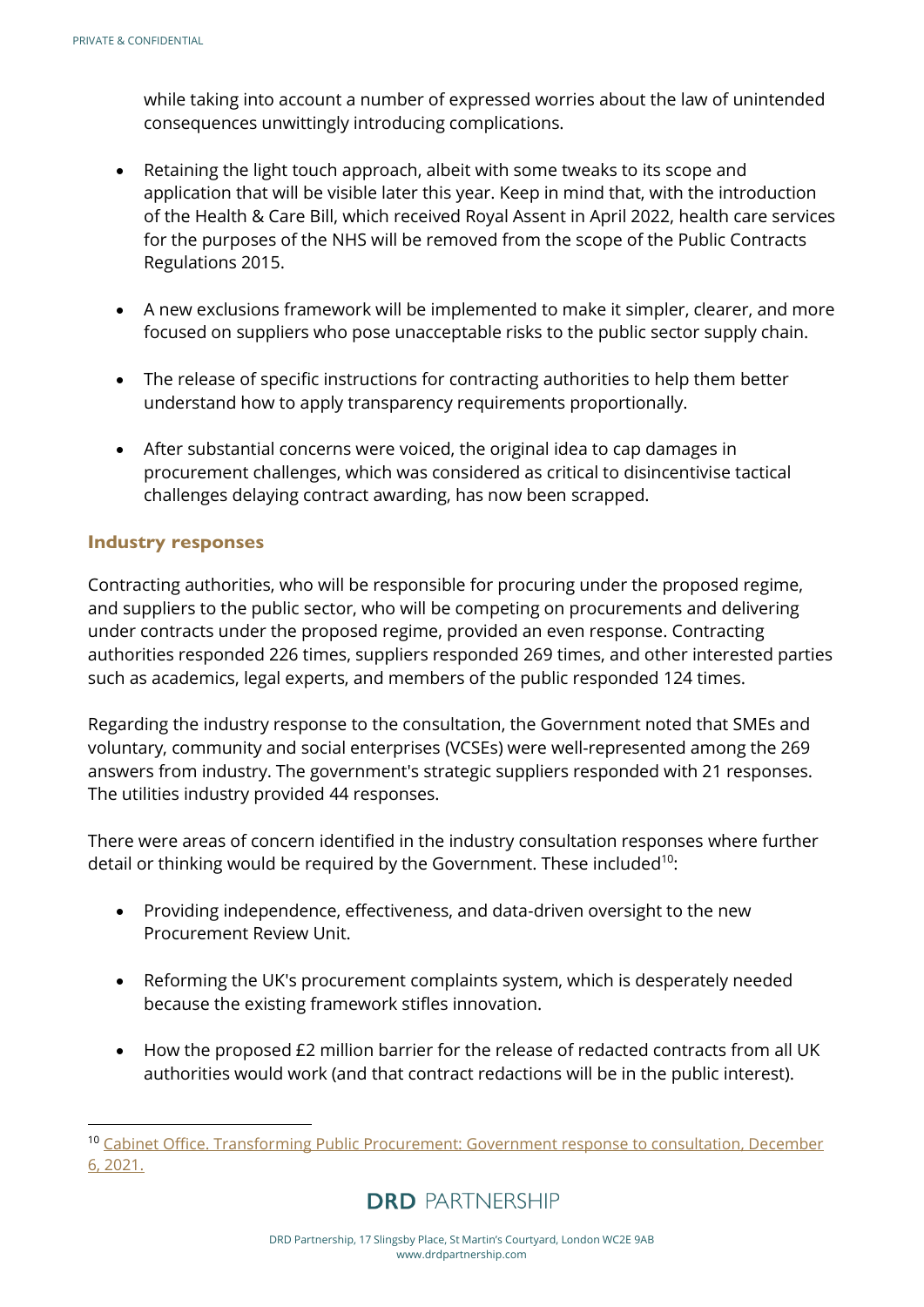while taking into account a number of expressed worries about the law of unintended consequences unwittingly introducing complications.

- Retaining the light touch approach, albeit with some tweaks to its scope and application that will be visible later this year. Keep in mind that, with the introduction of the Health & Care Bill, which received Royal Assent in April 2022, health care services for the purposes of the NHS will be removed from the scope of the Public Contracts Regulations 2015.
- A new exclusions framework will be implemented to make it simpler, clearer, and more focused on suppliers who pose unacceptable risks to the public sector supply chain.
- The release of specific instructions for contracting authorities to help them better understand how to apply transparency requirements proportionally.
- After substantial concerns were voiced, the original idea to cap damages in procurement challenges, which was considered as critical to disincentivise tactical challenges delaying contract awarding, has now been scrapped.

#### <span id="page-6-0"></span>**Industry responses**

Contracting authorities, who will be responsible for procuring under the proposed regime, and suppliers to the public sector, who will be competing on procurements and delivering under contracts under the proposed regime, provided an even response. Contracting authorities responded 226 times, suppliers responded 269 times, and other interested parties such as academics, legal experts, and members of the public responded 124 times.

Regarding the industry response to the consultation, the Government noted that SMEs and voluntary, community and social enterprises (VCSEs) were well-represented among the 269 answers from industry. The government's strategic suppliers responded with 21 responses. The utilities industry provided 44 responses.

There were areas of concern identified in the industry consultation responses where further detail or thinking would be required by the Government. These included<sup>10</sup>:

- Providing independence, effectiveness, and data-driven oversight to the new Procurement Review Unit.
- Reforming the UK's procurement complaints system, which is desperately needed because the existing framework stifles innovation.
- How the proposed £2 million barrier for the release of redacted contracts from all UK authorities would work (and that contract redactions will be in the public interest).

<sup>&</sup>lt;sup>10</sup> Cabinet Office. Transforming Public Procurement: Government response to consultation, December [6, 2021.](https://assets.publishing.service.gov.uk/government/uploads/system/uploads/attachment_data/file/1038516/Transforming_Public_Procurement-_Government_response_to_consultation.v3_.pdf.)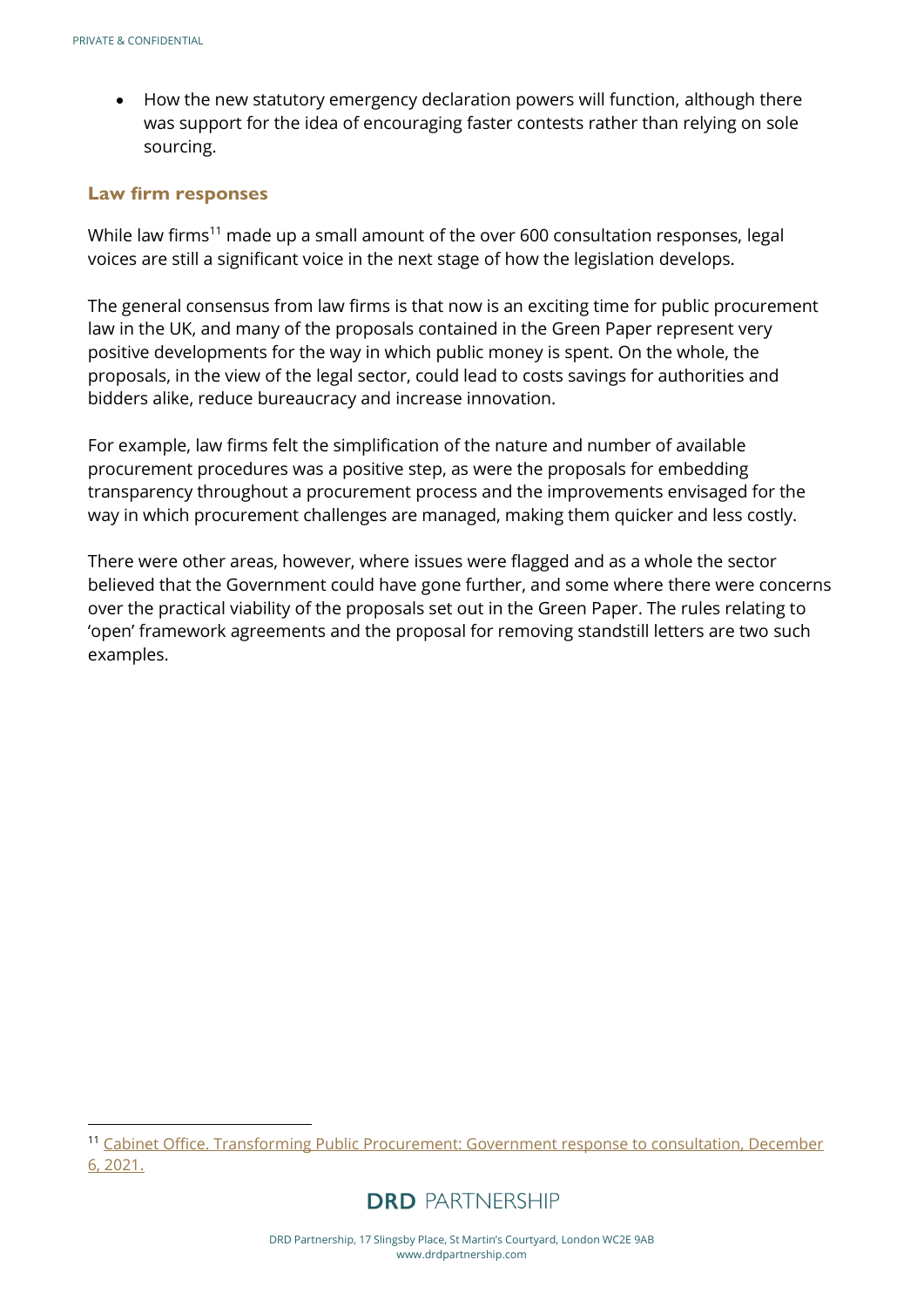• How the new statutory emergency declaration powers will function, although there was support for the idea of encouraging faster contests rather than relying on sole sourcing.

#### <span id="page-7-0"></span>**Law firm responses**

While law firms<sup>11</sup> made up a small amount of the over 600 consultation responses, legal voices are still a significant voice in the next stage of how the legislation develops.

The general consensus from law firms is that now is an exciting time for public procurement law in the UK, and many of the proposals contained in the Green Paper represent very positive developments for the way in which public money is spent. On the whole, the proposals, in the view of the legal sector, could lead to costs savings for authorities and bidders alike, reduce bureaucracy and increase innovation.

For example, law firms felt the simplification of the nature and number of available procurement procedures was a positive step, as were the proposals for embedding transparency throughout a procurement process and the improvements envisaged for the way in which procurement challenges are managed, making them quicker and less costly.

There were other areas, however, where issues were flagged and as a whole the sector believed that the Government could have gone further, and some where there were concerns over the practical viability of the proposals set out in the Green Paper. The rules relating to 'open' framework agreements and the proposal for removing standstill letters are two such examples.

<sup>&</sup>lt;sup>11</sup> Cabinet Office. Transforming Public Procurement: Government response to consultation, December [6, 2021.](https://assets.publishing.service.gov.uk/government/uploads/system/uploads/attachment_data/file/1038516/Transforming_Public_Procurement-_Government_response_to_consultation.v3_.pdf.)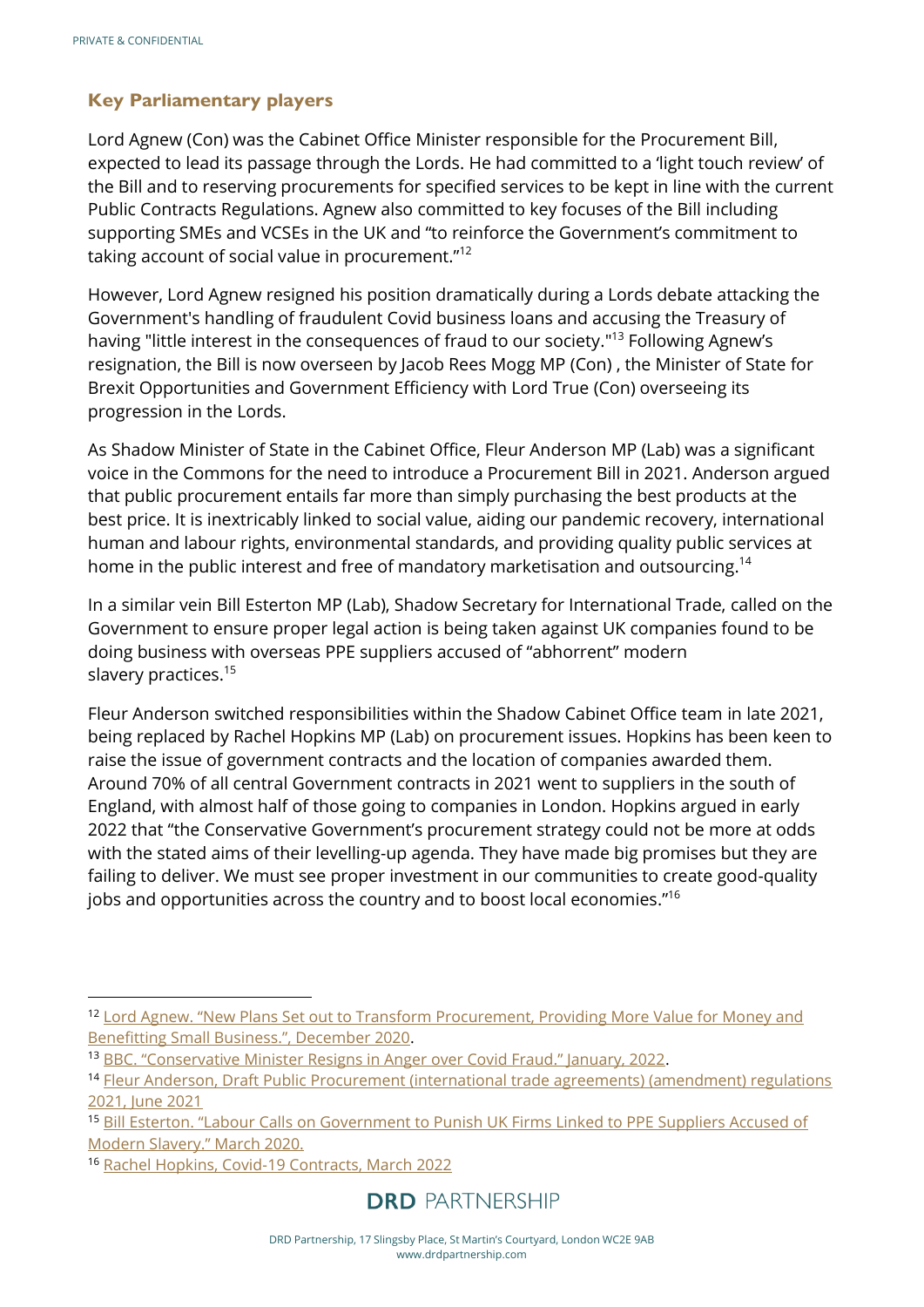## <span id="page-8-0"></span>**Key Parliamentary players**

Lord Agnew (Con) was the Cabinet Office Minister responsible for the Procurement Bill, expected to lead its passage through the Lords. He had committed to a 'light touch review' of the Bill and to reserving procurements for specified services to be kept in line with the current Public Contracts Regulations. Agnew also committed to key focuses of the Bill including supporting SMEs and VCSEs in the UK and "to reinforce the Government's commitment to taking account of social value in procurement."<sup>12</sup>

However, Lord Agnew resigned his position dramatically during a Lords debate attacking the Government's handling of fraudulent Covid business loans and accusing the Treasury of having "little interest in the consequences of fraud to our society."<sup>13</sup> Following Agnew's resignation, the Bill is now overseen by Jacob Rees Mogg MP (Con) , the Minister of State for Brexit Opportunities and Government Efficiency with Lord True (Con) overseeing its progression in the Lords.

As Shadow Minister of State in the Cabinet Office, Fleur Anderson MP (Lab) was a significant voice in the Commons for the need to introduce a Procurement Bill in 2021. Anderson argued that public procurement entails far more than simply purchasing the best products at the best price. It is inextricably linked to social value, aiding our pandemic recovery, international human and labour rights, environmental standards, and providing quality public services at home in the public interest and free of mandatory marketisation and outsourcing.<sup>14</sup>

In a similar vein Bill Esterton MP (Lab), Shadow Secretary for International Trade, called on the Government to ensure proper legal action is being taken against UK companies found to be doing business with overseas PPE suppliers accused of "abhorrent" modern slavery practices.<sup>15</sup>

Fleur Anderson switched responsibilities within the Shadow Cabinet Office team in late 2021, being replaced by Rachel Hopkins MP (Lab) on procurement issues. Hopkins has been keen to raise the issue of government contracts and the location of companies awarded them. Around 70% of all central Government contracts in 2021 went to suppliers in the south of England, with almost half of those going to companies in London. Hopkins argued in early 2022 that "the Conservative Government's procurement strategy could not be more at odds with the stated aims of their levelling-up agenda. They have made big promises but they are failing to deliver. We must see proper investment in our communities to create good-quality jobs and opportunities across the country and to boost local economies." 16

<sup>&</sup>lt;sup>12</sup> Lord Agnew. "New Plans Set out to Transform Procurement, Providing More Value for Money and [Benefitting Small Business.", December 2020](https://www.gov.uk/government/news/new-plans-set-out-to-transform-procurement-providing-more-value-for-money-and-benefitting-small-business).

<sup>13</sup> [BBC. "Conservative Minister Resigns in Anger over Covid Fraud." January, 2022](https://www.bbc.co.uk/news/uk-politics-60117513.).

<sup>&</sup>lt;sup>14</sup> Fleur Anderson, Draft Public Procurement (international trade agreements) (amendment) regulations [2021, June 2021](https://hansard.parliament.uk/Commons/2021-06-16/debates/df962798-197b-42bc-902e-9e9915a41459/DraftPublicProcurement(InternationalTradeAgreements)(Amendment)Regulations2021?highlight=procurement#contribution-BED8624C-98B7-4DCC-B8D2-F47339FB20D2)

<sup>15</sup> [Bill Esterton. "Labour Calls on Government to Punish UK Firms Linked to PPE Suppliers Accused of](https://www.billesterson.com/news/2021/03/23/labour-calls-on-government-to-punish-uk-firms-linked-to-ppe-suppliers-accused-of-modern-slavery/)  Mod[ern Slavery." March 2020.](https://www.billesterson.com/news/2021/03/23/labour-calls-on-government-to-punish-uk-firms-linked-to-ppe-suppliers-accused-of-modern-slavery/)

<sup>16</sup> [Rachel Hopkins, Covid-19 Contracts, March 2022](https://hansard.parliament.uk/Commons/2022-03-31/debates/5ECA203A-FC1A-4B9F-A642-4EBABBF1BF2A/Covid-19Contracts?highlight=procurement#contribution-945BD8D9-0542-4E00-883E-04299004314D)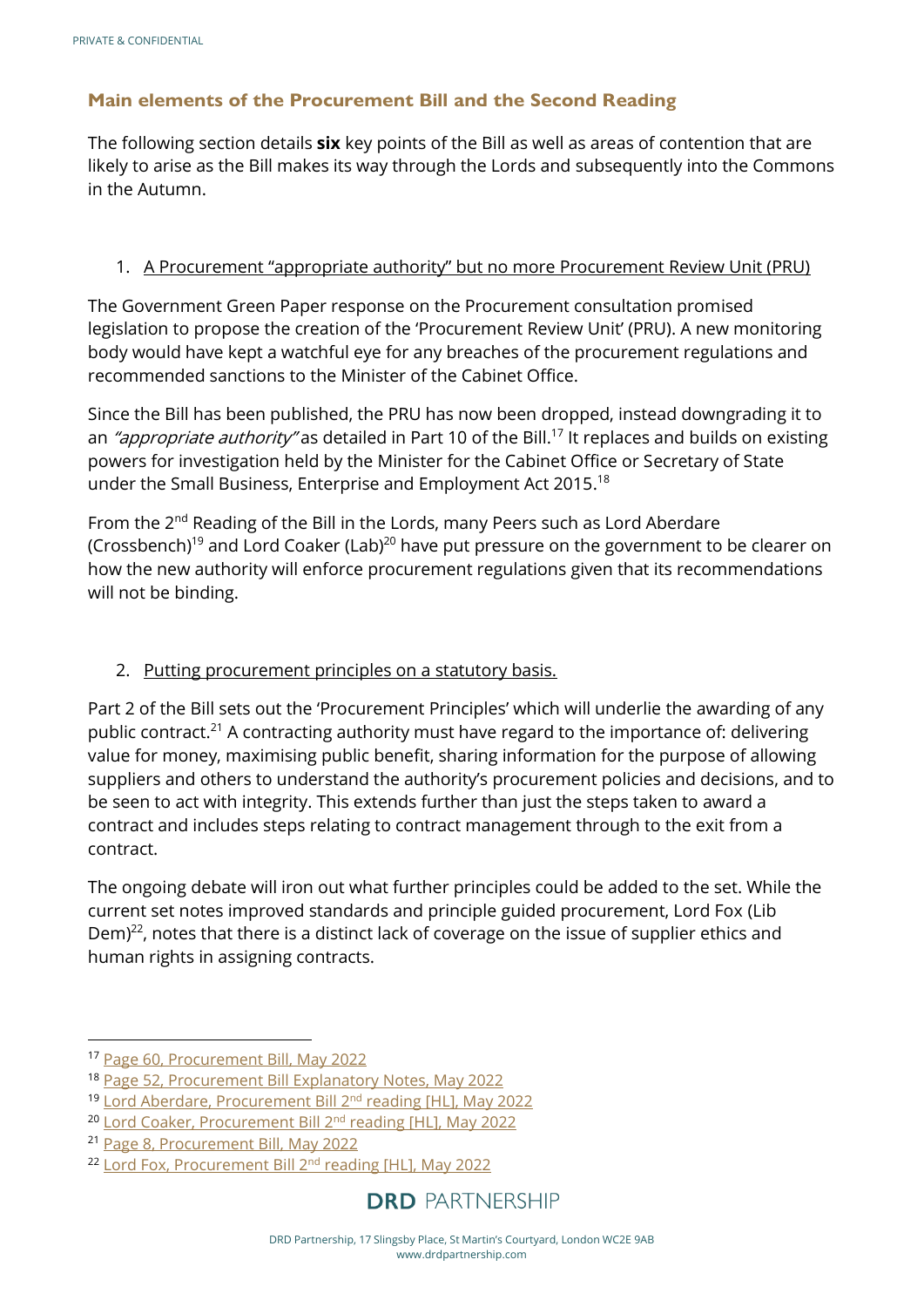## <span id="page-9-0"></span>**Main elements of the Procurement Bill and the Second Reading**

The following section details **six** key points of the Bill as well as areas of contention that are likely to arise as the Bill makes its way through the Lords and subsequently into the Commons in the Autumn.

#### 1. A Procurement "appropriate authority" but no more Procurement Review Unit (PRU)

The Government Green Paper response on the Procurement consultation promised legislation to propose the creation of the 'Procurement Review Unit' (PRU). A new monitoring body would have kept a watchful eye for any breaches of the procurement regulations and recommended sanctions to the Minister of the Cabinet Office.

Since the Bill has been published, the PRU has now been dropped, instead downgrading it to an "appropriate authority" as detailed in Part 10 of the Bill.<sup>17</sup> It replaces and builds on existing powers for investigation held by the Minister for the Cabinet Office or Secretary of State under the Small Business, Enterprise and Employment Act 2015.<sup>18</sup>

From the 2<sup>nd</sup> Reading of the Bill in the Lords, many Peers such as Lord Aberdare (Crossbench)<sup>19</sup> and Lord Coaker (Lab)<sup>20</sup> have put pressure on the government to be clearer on how the new authority will enforce procurement regulations given that its recommendations will not be binding.

#### 2. Putting procurement principles on a statutory basis.

Part 2 of the Bill sets out the 'Procurement Principles' which will underlie the awarding of any public contract.<sup>21</sup> A contracting authority must have regard to the importance of: delivering value for money, maximising public benefit, sharing information for the purpose of allowing suppliers and others to understand the authority's procurement policies and decisions, and to be seen to act with integrity. This extends further than just the steps taken to award a contract and includes steps relating to contract management through to the exit from a contract.

The ongoing debate will iron out what further principles could be added to the set. While the current set notes improved standards and principle guided procurement, Lord Fox (Lib Dem) $^{22}$ , notes that there is a distinct lack of coverage on the issue of supplier ethics and human rights in assigning contracts.

<sup>17</sup> [Page 60, Procurement Bill, May 2022](https://bills.parliament.uk/publications/46439/documents/1777)

<sup>18</sup> [Page 52, Procurement Bill Explanatory Notes, May 2022](https://bills.parliament.uk/publications/46458/documents/1787)

<sup>19</sup> Lord Aberdare, Procurement Bill 2nd reading [HL], May 2022

<sup>&</sup>lt;sup>20</sup> [Lord Coaker, Procurement Bill 2](https://hansard.parliament.uk/lords/2022-05-25/debates/17E14739-4AC4-4D4B-B9C6-2E4CB6BFC328/ProcurementBill(HL)#contribution-EC25B3E5-CC19-40B7-AB75-A370F7BCFBA8)<sup>nd</sup> reading [HL], May 2022

<sup>21</sup> [Page 8, Procurement Bill, May 2022](https://bills.parliament.uk/publications/46439/documents/1777)

<sup>&</sup>lt;sup>22</sup> [Lord Fox, Procurement Bill 2](https://hansard.parliament.uk/lords/2022-05-25/debates/17E14739-4AC4-4D4B-B9C6-2E4CB6BFC328/ProcurementBill(HL)#contribution-8EAF3318-BA57-4C87-BDCF-0991EC2D870F)<sup>nd</sup> reading [HL], May 2022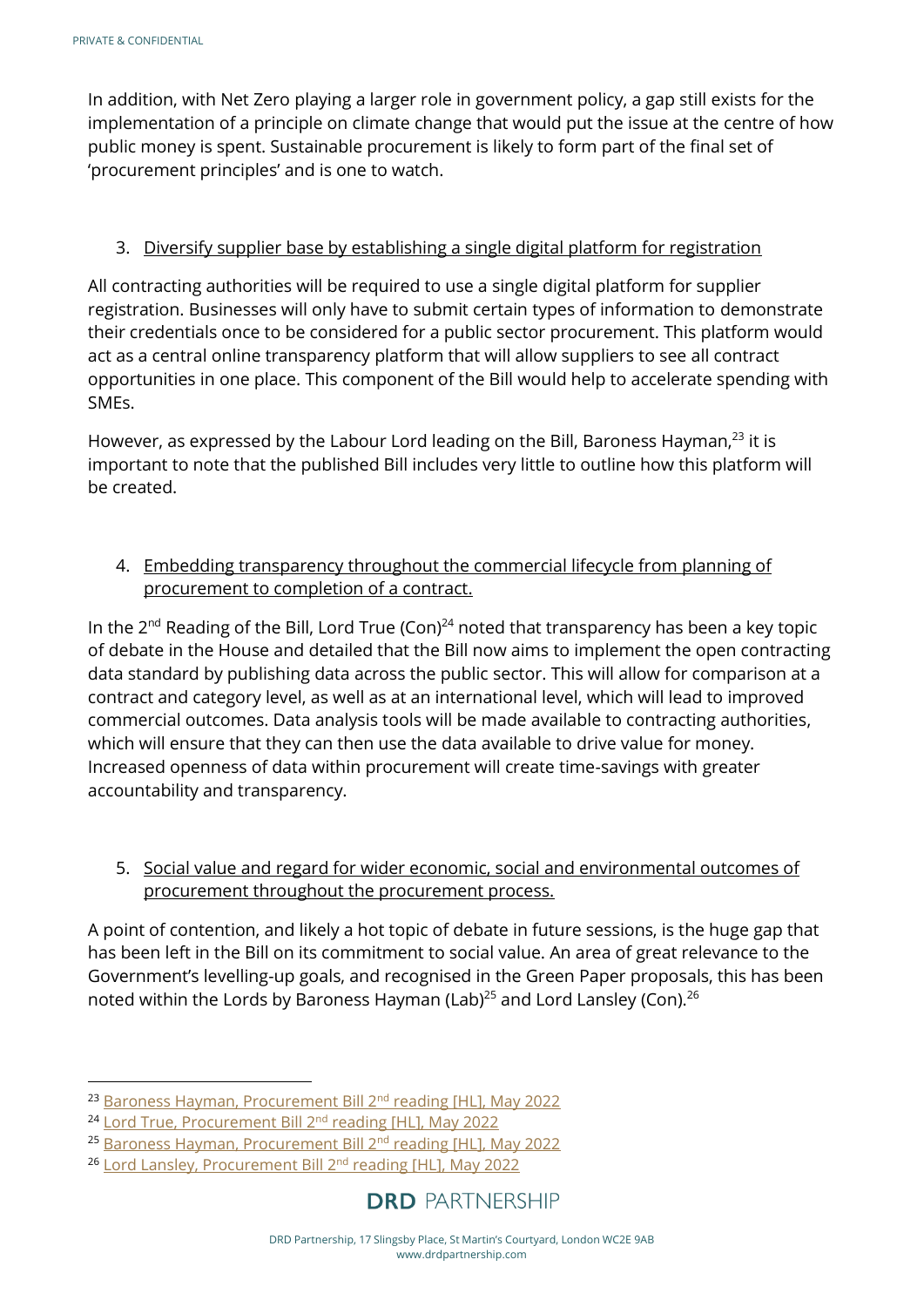In addition, with Net Zero playing a larger role in government policy, a gap still exists for the implementation of a principle on climate change that would put the issue at the centre of how public money is spent. Sustainable procurement is likely to form part of the final set of 'procurement principles' and is one to watch.

#### 3. Diversify supplier base by establishing a single digital platform for registration

All contracting authorities will be required to use a single digital platform for supplier registration. Businesses will only have to submit certain types of information to demonstrate their credentials once to be considered for a public sector procurement. This platform would act as a central online transparency platform that will allow suppliers to see all contract opportunities in one place. This component of the Bill would help to accelerate spending with SMEs.

However, as expressed by the Labour Lord leading on the Bill, Baroness Hayman,<sup>23</sup> it is important to note that the published Bill includes very little to outline how this platform will be created.

#### 4. Embedding transparency throughout the commercial lifecycle from planning of procurement to completion of a contract.

In the  $2^{nd}$  Reading of the Bill, Lord True (Con)<sup>24</sup> noted that transparency has been a key topic of debate in the House and detailed that the Bill now aims to implement the open contracting data standard by publishing data across the public sector. This will allow for comparison at a contract and category level, as well as at an international level, which will lead to improved commercial outcomes. Data analysis tools will be made available to contracting authorities, which will ensure that they can then use the data available to drive value for money. Increased openness of data within procurement will create time-savings with greater accountability and transparency.

#### 5. Social value and regard for wider economic, social and environmental outcomes of procurement throughout the procurement process.

A point of contention, and likely a hot topic of debate in future sessions, is the huge gap that has been left in the Bill on its commitment to social value. An area of great relevance to the Government's levelling-up goals, and recognised in the Green Paper proposals, this has been noted within the Lords by Baroness Hayman (Lab)<sup>25</sup> and Lord Lansley (Con).<sup>26</sup>

<sup>&</sup>lt;sup>23</sup> [Baroness Hayman, Procurement Bill 2](https://hansard.parliament.uk/lords/2022-05-25/debates/17E14739-4AC4-4D4B-B9C6-2E4CB6BFC328/ProcurementBill(HL)#contribution-52EC59E8-AD3D-4D87-B2B9-2688CFA164FE)<sup>nd</sup> reading [HL], May 2022

<sup>&</sup>lt;sup>24</sup> [Lord True, Procurement Bill 2](https://hansard.parliament.uk/lords/2022-05-25/debates/17E14739-4AC4-4D4B-B9C6-2E4CB6BFC328/ProcurementBill(HL)#contribution-999E4762-2011-4381-9EC4-0E37D5C4158B)<sup>nd</sup> reading [HL], May 2022

<sup>25</sup> [Baroness Hayman, Procurement Bill 2](https://hansard.parliament.uk/lords/2022-05-25/debates/17E14739-4AC4-4D4B-B9C6-2E4CB6BFC328/ProcurementBill(HL)#contribution-52EC59E8-AD3D-4D87-B2B9-2688CFA164FE)<sup>nd</sup> reading [HL], May 2022

<sup>&</sup>lt;sup>26</sup> [Lord Lansley, Procurement Bill 2](https://hansard.parliament.uk/lords/2022-05-25/debates/17E14739-4AC4-4D4B-B9C6-2E4CB6BFC328/ProcurementBill(HL)#contribution-1CD53FCC-D82D-48ED-ABB5-D271FFD31A75)<sup>nd</sup> reading [HL], May 2022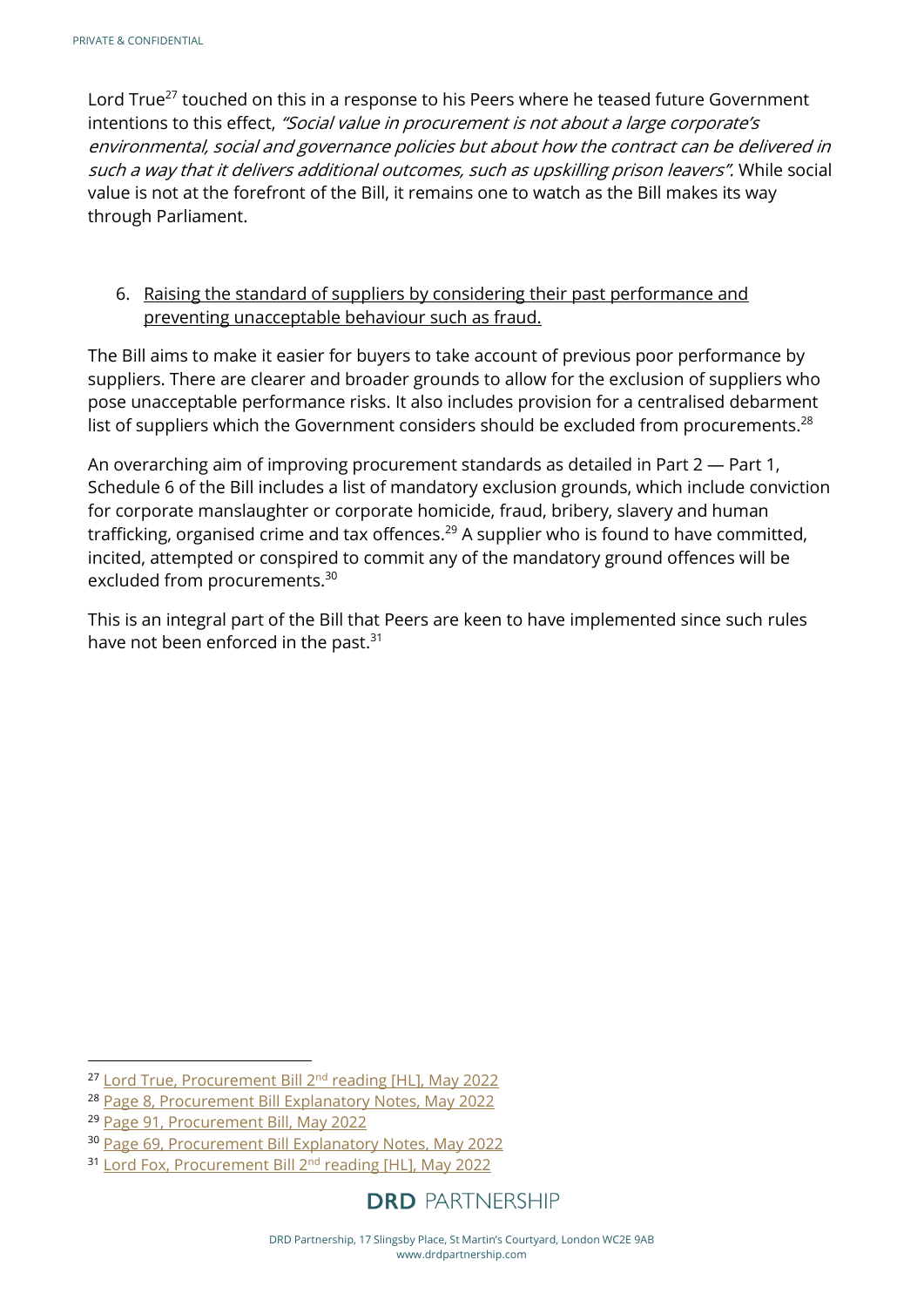Lord True<sup>27</sup> touched on this in a response to his Peers where he teased future Government intentions to this effect, "Social value in procurement is not about a large corporate's environmental, social and governance policies but about how the contract can be delivered in such a way that it delivers additional outcomes, such as upskilling prison leavers". While social value is not at the forefront of the Bill, it remains one to watch as the Bill makes its way through Parliament.

#### 6. Raising the standard of suppliers by considering their past performance and preventing unacceptable behaviour such as fraud.

The Bill aims to make it easier for buyers to take account of previous poor performance by suppliers. There are clearer and broader grounds to allow for the exclusion of suppliers who pose unacceptable performance risks. It also includes provision for a centralised debarment list of suppliers which the Government considers should be excluded from procurements.<sup>28</sup>

An overarching aim of improving procurement standards as detailed in Part 2 — Part 1, Schedule 6 of the Bill includes a list of mandatory exclusion grounds, which include conviction for corporate manslaughter or corporate homicide, fraud, bribery, slavery and human trafficking, organised crime and tax offences.<sup>29</sup> A supplier who is found to have committed, incited, attempted or conspired to commit any of the mandatory ground offences will be excluded from procurements.<sup>30</sup>

<span id="page-11-0"></span>This is an integral part of the Bill that Peers are keen to have implemented since such rules have not been enforced in the past.<sup>31</sup>

<sup>&</sup>lt;sup>27</sup> [Lord True, Procurement Bill 2](https://hansard.parliament.uk/lords/2022-05-25/debates/17E14739-4AC4-4D4B-B9C6-2E4CB6BFC328/ProcurementBill(HL)#contribution-999E4762-2011-4381-9EC4-0E37D5C4158B)<sup>nd</sup> reading [HL], May 2022

<sup>28</sup> [Page 8, Procurement Bill Explanatory Notes, May 2022](https://bills.parliament.uk/publications/46458/documents/1787)

<sup>29</sup> [Page 91, Procurement Bill, May 2022](https://bills.parliament.uk/publications/46439/documents/1777)

<sup>30</sup> [Page 69, Procurement Bill Explanatory Notes, May 2022](https://bills.parliament.uk/publications/46458/documents/1787)

<sup>&</sup>lt;sup>31</sup> [Lord Fox, Procurement Bill 2](https://hansard.parliament.uk/lords/2022-05-25/debates/17E14739-4AC4-4D4B-B9C6-2E4CB6BFC328/ProcurementBill(HL)#contribution-8EAF3318-BA57-4C87-BDCF-0991EC2D870F)<sup>nd</sup> reading [HL], May 2022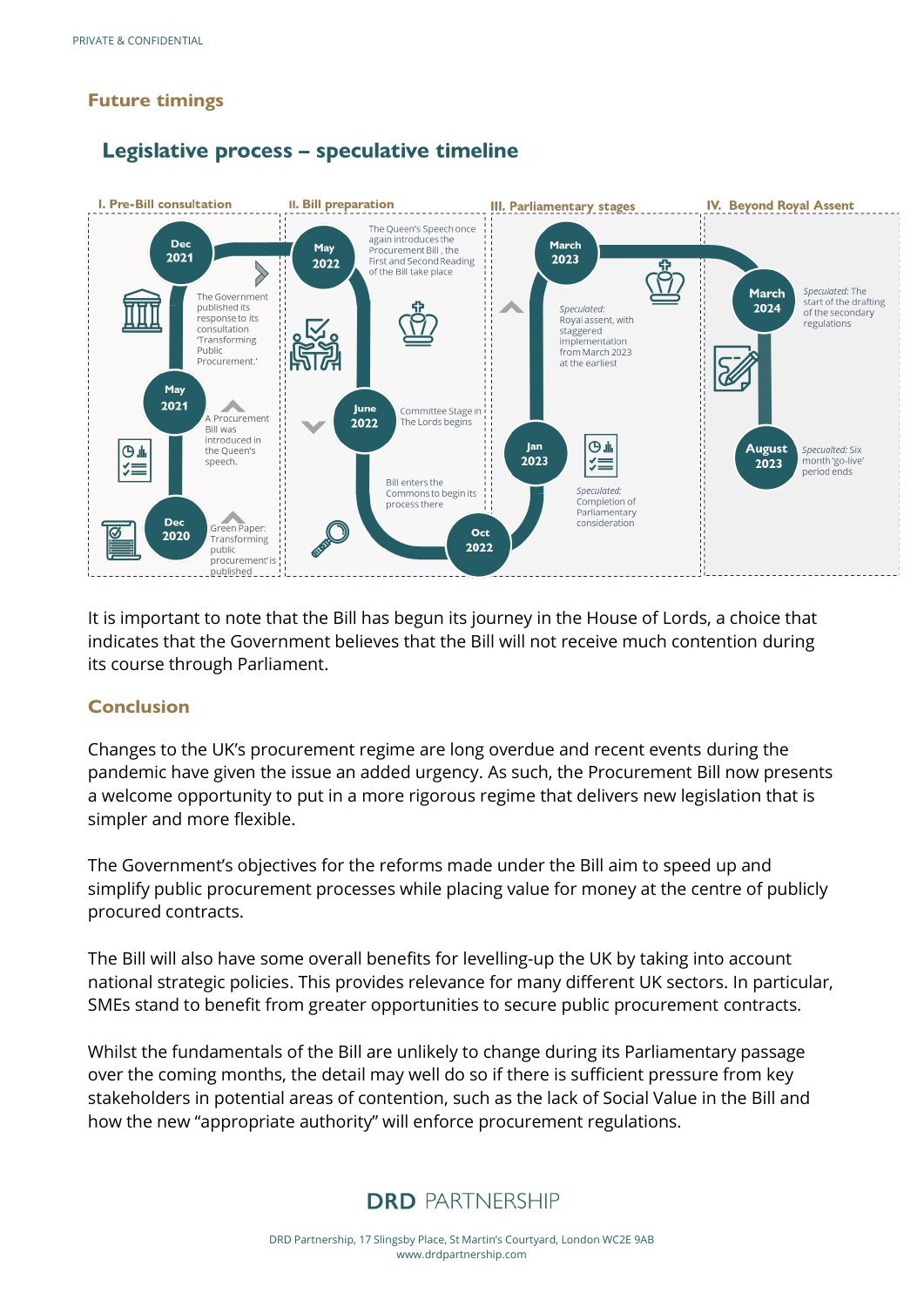#### **Future timings**

Legislative process - speculative timeline



It is important to note that the Bill has begun its journey in the House of Lords, a choice that indicates that the Government believes that the Bill will not receive much contention during its course through Parliament.

#### <span id="page-12-0"></span>**Conclusion**

Changes to the UK's procurement regime are long overdue and recent events during the pandemic have given the issue an added urgency. As such, the Procurement Bill now presents a welcome opportunity to put in a more rigorous regime that delivers new legislation that is simpler and more flexible.

The Government's objectives for the reforms made under the Bill aim to speed up and simplify public procurement processes while placing value for money at the centre of publicly procured contracts.

The Bill will also have some overall benefits for levelling-up the UK by taking into account national strategic policies. This provides relevance for many different UK sectors. In particular, SMEs stand to benefit from greater opportunities to secure public procurement contracts.

Whilst the fundamentals of the Bill are unlikely to change during its Parliamentary passage over the coming months, the detail may well do so if there is sufficient pressure from key stakeholders in potential areas of contention, such as the lack of Social Value in the Bill and how the new "appropriate authority" will enforce procurement regulations.